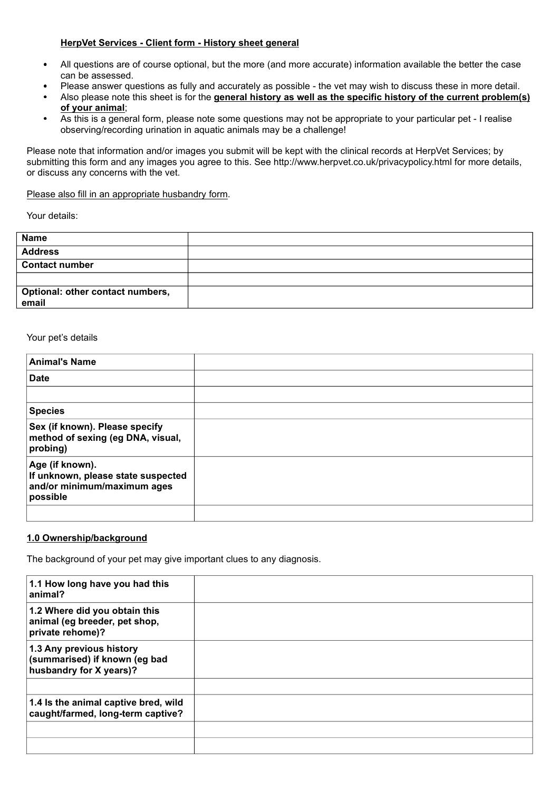### **HerpVet Services - Client form - History sheet general**

- All questions are of course optional, but the more (and more accurate) information available the better the case can be assessed.
- Please answer questions as fully and accurately as possible the vet may wish to discuss these in more detail.
- Also please note this sheet is for the **general history as well as the specific history of the current problem(s) of your animal**;
- As this is a general form, please note some questions may not be appropriate to your particular pet I realise observing/recording urination in aquatic animals may be a challenge!

Please note that information and/or images you submit will be kept with the clinical records at HerpVet Services; by submitting this form and any images you agree to this. See http://www.herpvet.co.uk/privacypolicy.html for more details, or discuss any concerns with the vet.

Please also fill in an appropriate husbandry form.

Your details:

| <b>Name</b>                      |  |
|----------------------------------|--|
| <b>Address</b>                   |  |
| <b>Contact number</b>            |  |
|                                  |  |
| Optional: other contact numbers, |  |
| email                            |  |

### Your pet's details

| <b>Animal's Name</b>                                                                             |  |
|--------------------------------------------------------------------------------------------------|--|
| <b>Date</b>                                                                                      |  |
|                                                                                                  |  |
| <b>Species</b>                                                                                   |  |
| Sex (if known). Please specify<br>method of sexing (eg DNA, visual,<br>probing)                  |  |
| Age (if known).<br>If unknown, please state suspected<br>and/or minimum/maximum ages<br>possible |  |
|                                                                                                  |  |

### **1.0 Ownership/background**

The background of your pet may give important clues to any diagnosis.

| 1.1 How long have you had this<br>animal?                                            |  |
|--------------------------------------------------------------------------------------|--|
| 1.2 Where did you obtain this<br>animal (eg breeder, pet shop,<br>private rehome)?   |  |
| 1.3 Any previous history<br>(summarised) if known (eg bad<br>husbandry for X years)? |  |
|                                                                                      |  |
| 1.4 Is the animal captive bred, wild<br>caught/farmed, long-term captive?            |  |
|                                                                                      |  |
|                                                                                      |  |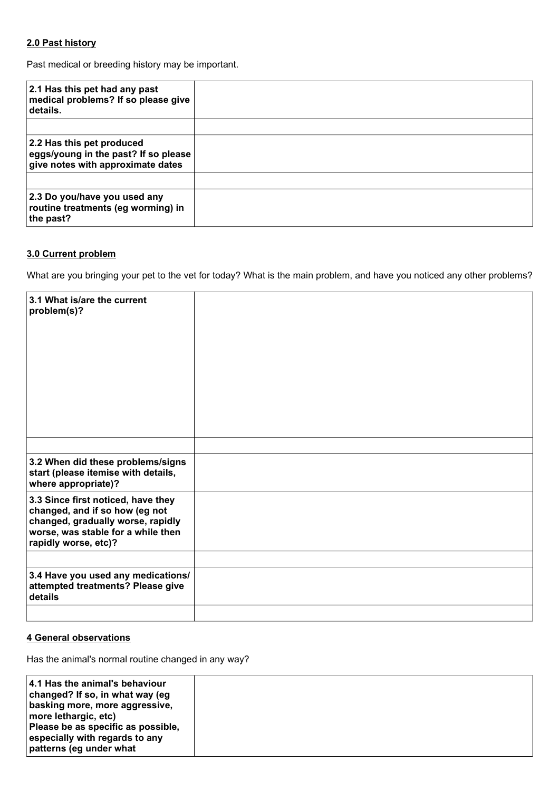## **2.0 Past history**

Past medical or breeding history may be important.

| 2.1 Has this pet had any past<br>medical problems? If so please give<br>details.                       |  |
|--------------------------------------------------------------------------------------------------------|--|
| 2.2 Has this pet produced<br>eggs/young in the past? If so please<br>give notes with approximate dates |  |
| 2.3 Do you/have you used any<br>routine treatments (eg worming) in<br>the past?                        |  |

## **3.0 Current problem**

What are you bringing your pet to the vet for today? What is the main problem, and have you noticed any other problems?

| 3.1 What is/are the current<br>problem(s)?                                                                                                                              |  |
|-------------------------------------------------------------------------------------------------------------------------------------------------------------------------|--|
|                                                                                                                                                                         |  |
| 3.2 When did these problems/signs<br>start (please itemise with details,<br>where appropriate)?                                                                         |  |
| 3.3 Since first noticed, have they<br>changed, and if so how (eg not<br>changed, gradually worse, rapidly<br>worse, was stable for a while then<br>rapidly worse, etc)? |  |
|                                                                                                                                                                         |  |
| 3.4 Have you used any medications/<br>attempted treatments? Please give<br>details                                                                                      |  |
|                                                                                                                                                                         |  |

## **4 General observations**

Has the animal's normal routine changed in any way?

| 4.1 Has the animal's behaviour<br>changed? If so, in what way (eg<br>basking more, more aggressive,<br>more lethargic, etc)<br>Please be as specific as possible,<br>especially with regards to any |  |
|-----------------------------------------------------------------------------------------------------------------------------------------------------------------------------------------------------|--|
| patterns (eg under what                                                                                                                                                                             |  |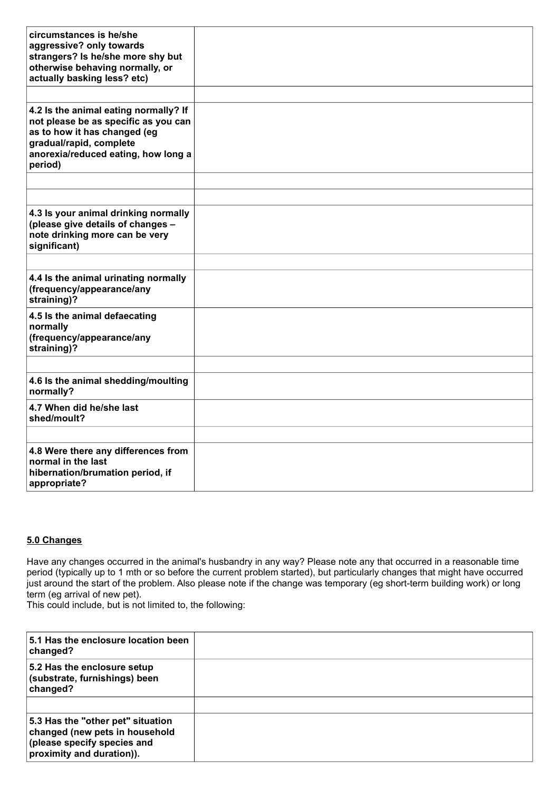| circumstances is he/she<br>aggressive? only towards<br>strangers? Is he/she more shy but<br>otherwise behaving normally, or<br>actually basking less? etc)                                 |  |
|--------------------------------------------------------------------------------------------------------------------------------------------------------------------------------------------|--|
|                                                                                                                                                                                            |  |
| 4.2 Is the animal eating normally? If<br>not please be as specific as you can<br>as to how it has changed (eg<br>gradual/rapid, complete<br>anorexia/reduced eating, how long a<br>period) |  |
|                                                                                                                                                                                            |  |
|                                                                                                                                                                                            |  |
| 4.3 Is your animal drinking normally<br>(please give details of changes -<br>note drinking more can be very<br>significant)                                                                |  |
|                                                                                                                                                                                            |  |
| 4.4 Is the animal urinating normally<br>(frequency/appearance/any<br>straining)?                                                                                                           |  |
| 4.5 Is the animal defaecating<br>normally<br>(frequency/appearance/any<br>straining)?                                                                                                      |  |
|                                                                                                                                                                                            |  |
| 4.6 Is the animal shedding/moulting<br>normally?                                                                                                                                           |  |
| 4.7 When did he/she last<br>shed/moult?                                                                                                                                                    |  |
|                                                                                                                                                                                            |  |
| 4.8 Were there any differences from<br>normal in the last<br>hibernation/brumation period, if<br>appropriate?                                                                              |  |

# **5.0 Changes**

Have any changes occurred in the animal's husbandry in any way? Please note any that occurred in a reasonable time period (typically up to 1 mth or so before the current problem started), but particularly changes that might have occurred just around the start of the problem. Also please note if the change was temporary (eg short-term building work) or long term (eg arrival of new pet).

This could include, but is not limited to, the following:

| 5.1 Has the enclosure location been<br>changed?                                                                                 |  |
|---------------------------------------------------------------------------------------------------------------------------------|--|
| 5.2 Has the enclosure setup<br>(substrate, furnishings) been<br>changed?                                                        |  |
|                                                                                                                                 |  |
| 5.3 Has the "other pet" situation<br>changed (new pets in household<br>(please specify species and<br>proximity and duration)). |  |